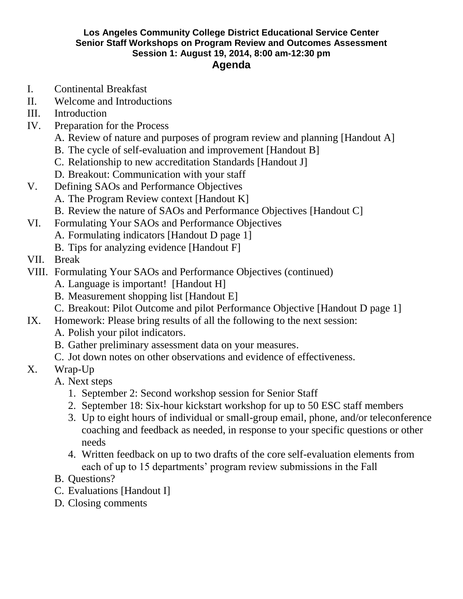#### **Los Angeles Community College District Educational Service Center Senior Staff Workshops on Program Review and Outcomes Assessment Session 1: August 19, 2014, 8:00 am-12:30 pm Agenda**

- I. Continental Breakfast
- II. Welcome and Introductions
- III. Introduction
- IV. Preparation for the Process
	- A. Review of nature and purposes of program review and planning [Handout A]
	- B. The cycle of self-evaluation and improvement [Handout B]
	- C. Relationship to new accreditation Standards [Handout J]
	- D. Breakout: Communication with your staff
- V. Defining SAOs and Performance Objectives
	- A. The Program Review context [Handout K]
	- B. Review the nature of SAOs and Performance Objectives [Handout C]
- VI. Formulating Your SAOs and Performance Objectives
	- A. Formulating indicators [Handout D page 1]
	- B. Tips for analyzing evidence [Handout F]
- VII. Break
- VIII. Formulating Your SAOs and Performance Objectives (continued)
	- A. Language is important! [Handout H]
	- B. Measurement shopping list [Handout E]
	- C. Breakout: Pilot Outcome and pilot Performance Objective [Handout D page 1]
- IX. Homework: Please bring results of all the following to the next session:
	- A. Polish your pilot indicators.
	- B. Gather preliminary assessment data on your measures.
	- C. Jot down notes on other observations and evidence of effectiveness.
- X. Wrap-Up
	- A. Next steps
		- 1. September 2: Second workshop session for Senior Staff
		- 2. September 18: Six-hour kickstart workshop for up to 50 ESC staff members
		- 3. Up to eight hours of individual or small-group email, phone, and/or teleconference coaching and feedback as needed, in response to your specific questions or other needs
		- 4. Written feedback on up to two drafts of the core self-evaluation elements from each of up to 15 departments' program review submissions in the Fall
	- B. Questions?
	- C. Evaluations [Handout I]
	- D. Closing comments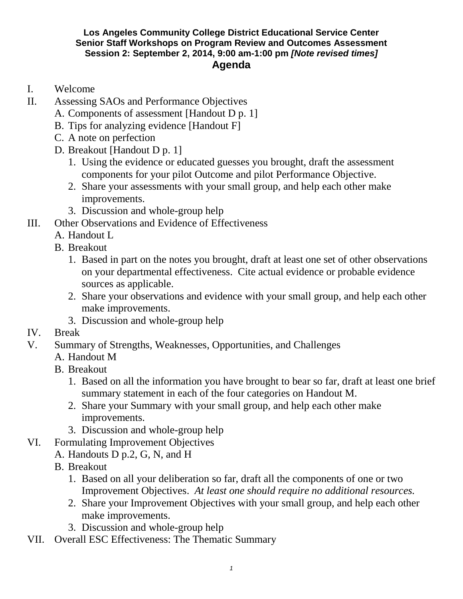### **Los Angeles Community College District Educational Service Center Senior Staff Workshops on Program Review and Outcomes Assessment Session 2: September 2, 2014, 9:00 am-1:00 pm** *[Note revised times]* **Agenda**

- I. Welcome
- II. Assessing SAOs and Performance Objectives
	- A. Components of assessment [Handout D p. 1]
	- B. Tips for analyzing evidence [Handout F]
	- C. A note on perfection
	- D. Breakout [Handout D p. 1]
		- 1. Using the evidence or educated guesses you brought, draft the assessment components for your pilot Outcome and pilot Performance Objective.
		- 2. Share your assessments with your small group, and help each other make improvements.
		- 3. Discussion and whole-group help
- III. Other Observations and Evidence of Effectiveness
	- A. Handout L
	- B. Breakout
		- 1. Based in part on the notes you brought, draft at least one set of other observations on your departmental effectiveness. Cite actual evidence or probable evidence sources as applicable.
		- 2. Share your observations and evidence with your small group, and help each other make improvements.
		- 3. Discussion and whole-group help
- IV. Break
- V. Summary of Strengths, Weaknesses, Opportunities, and Challenges
	- A. Handout M
	- B. Breakout
		- 1. Based on all the information you have brought to bear so far, draft at least one brief summary statement in each of the four categories on Handout M.
		- 2. Share your Summary with your small group, and help each other make improvements.
		- 3. Discussion and whole-group help
- VI. Formulating Improvement Objectives
	- A. Handouts D p.2, G, N, and H
	- B. Breakout
		- 1. Based on all your deliberation so far, draft all the components of one or two Improvement Objectives. *At least one should require no additional resources.*
		- 2. Share your Improvement Objectives with your small group, and help each other make improvements.
		- 3. Discussion and whole-group help
- VII. Overall ESC Effectiveness: The Thematic Summary